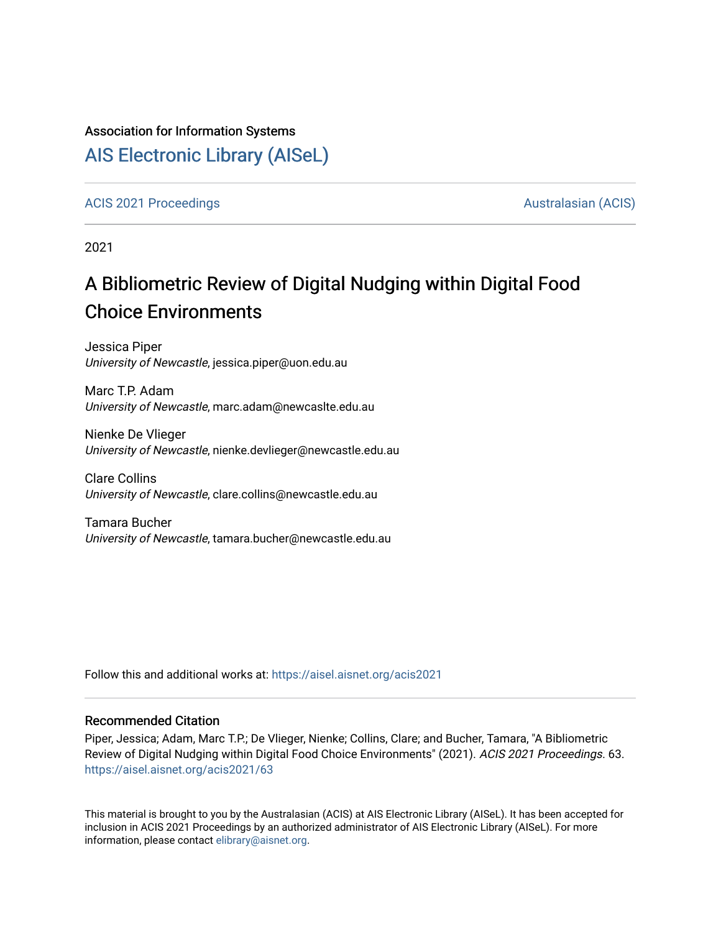#### Association for Information Systems

# [AIS Electronic Library \(AISeL\)](https://aisel.aisnet.org/)

[ACIS 2021 Proceedings](https://aisel.aisnet.org/acis2021) [Australasian \(ACIS\)](https://aisel.aisnet.org/acis) Australasian (ACIS)

2021

# A Bibliometric Review of Digital Nudging within Digital Food Choice Environments

Jessica Piper University of Newcastle, jessica.piper@uon.edu.au

Marc T.P. Adam University of Newcastle, marc.adam@newcaslte.edu.au

Nienke De Vlieger University of Newcastle, nienke.devlieger@newcastle.edu.au

Clare Collins University of Newcastle, clare.collins@newcastle.edu.au

Tamara Bucher University of Newcastle, tamara.bucher@newcastle.edu.au

Follow this and additional works at: [https://aisel.aisnet.org/acis2021](https://aisel.aisnet.org/acis2021?utm_source=aisel.aisnet.org%2Facis2021%2F63&utm_medium=PDF&utm_campaign=PDFCoverPages) 

#### Recommended Citation

Piper, Jessica; Adam, Marc T.P.; De Vlieger, Nienke; Collins, Clare; and Bucher, Tamara, "A Bibliometric Review of Digital Nudging within Digital Food Choice Environments" (2021). ACIS 2021 Proceedings. 63. [https://aisel.aisnet.org/acis2021/63](https://aisel.aisnet.org/acis2021/63?utm_source=aisel.aisnet.org%2Facis2021%2F63&utm_medium=PDF&utm_campaign=PDFCoverPages)

This material is brought to you by the Australasian (ACIS) at AIS Electronic Library (AISeL). It has been accepted for inclusion in ACIS 2021 Proceedings by an authorized administrator of AIS Electronic Library (AISeL). For more information, please contact [elibrary@aisnet.org.](mailto:elibrary@aisnet.org%3E)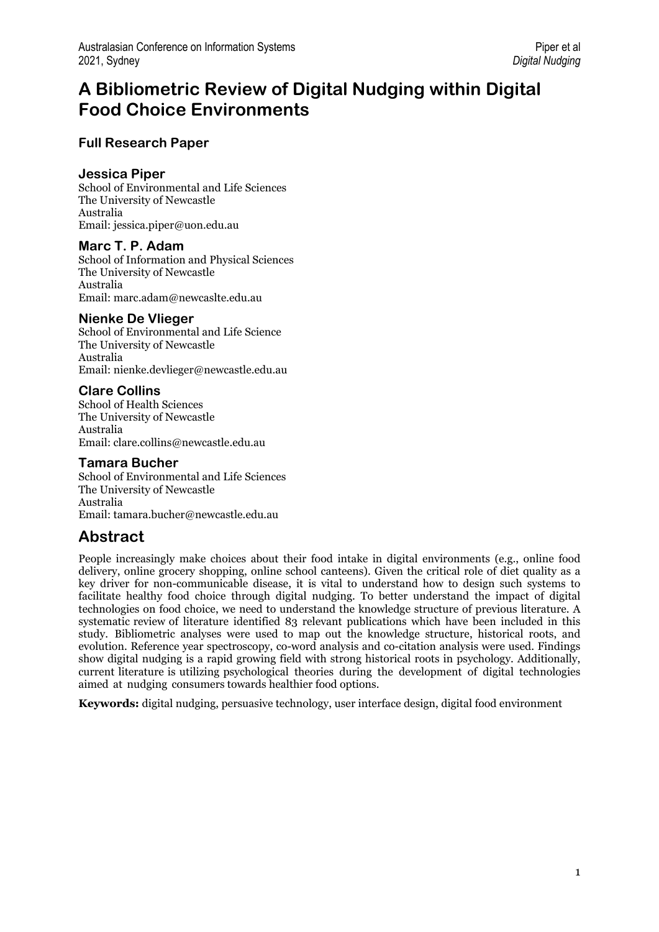# **A Bibliometric Review of Digital Nudging within Digital Food Choice Environments**

### **Full Research Paper**

#### **Jessica Piper**

School of Environmental and Life Sciences The University of Newcastle Australia Email: jessica.piper@uon.edu.au

#### **Marc T. P. Adam**

School of Information and Physical Sciences The University of Newcastle Australia Email: marc.adam@newcaslte.edu.au

#### **Nienke De Vlieger**

School of Environmental and Life Science The University of Newcastle Australia Email: nienke.devlieger@newcastle.edu.au

#### **Clare Collins**

School of Health Sciences The University of Newcastle Australia Email: clare.collins@newcastle.edu.au

#### **Tamara Bucher**

School of Environmental and Life Sciences The University of Newcastle Australia Email: tamara.bucher@newcastle.edu.au

## **Abstract**

People increasingly make choices about their food intake in digital environments (e.g., online food delivery, online grocery shopping, online school canteens). Given the critical role of diet quality as a key driver for non-communicable disease, it is vital to understand how to design such systems to facilitate healthy food choice through digital nudging. To better understand the impact of digital technologies on food choice, we need to understand the knowledge structure of previous literature. A systematic review of literature identified 83 relevant publications which have been included in this study. Bibliometric analyses were used to map out the knowledge structure, historical roots, and evolution. Reference year spectroscopy, co-word analysis and co-citation analysis were used. Findings show digital nudging is a rapid growing field with strong historical roots in psychology. Additionally, current literature is utilizing psychological theories during the development of digital technologies aimed at nudging consumers towards healthier food options.

**Keywords:** digital nudging, persuasive technology, user interface design, digital food environment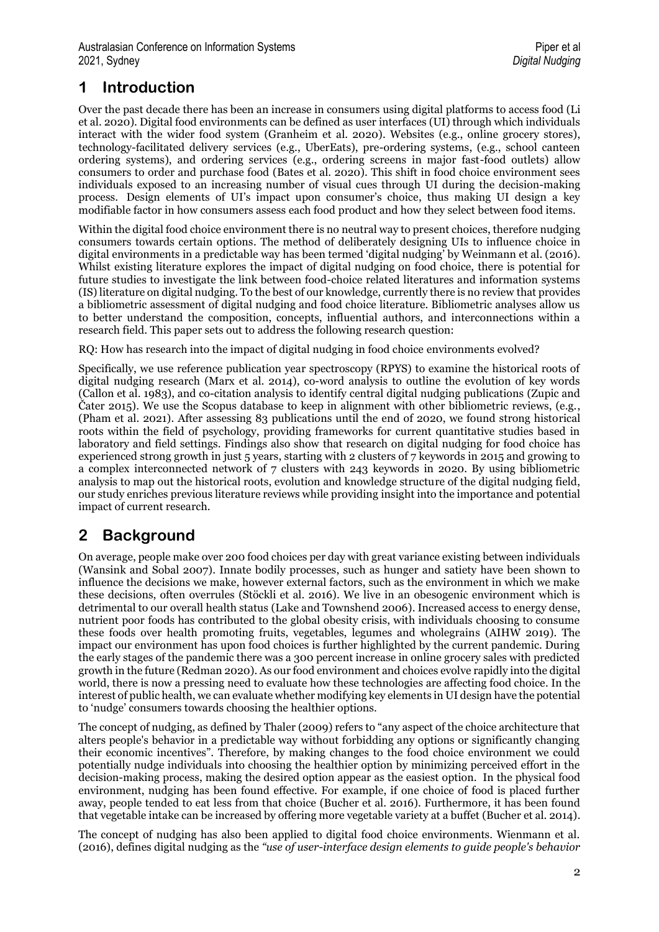# **1 Introduction**

Over the past decade there has been an increase in consumers using digital platforms to access food (Li et al. 2020). Digital food environments can be defined as user interfaces (UI) through which individuals interact with the wider food system (Granheim et al. 2020). Websites (e.g., online grocery stores), technology-facilitated delivery services (e.g., UberEats), pre-ordering systems, (e.g., school canteen ordering systems), and ordering services (e.g., ordering screens in major fast-food outlets) allow consumers to order and purchase food (Bates et al. 2020). This shift in food choice environment sees individuals exposed to an increasing number of visual cues through UI during the decision-making process. Design elements of UI's impact upon consumer's choice, thus making UI design a key modifiable factor in how consumers assess each food product and how they select between food items.

Within the digital food choice environment there is no neutral way to present choices, therefore nudging consumers towards certain options. The method of deliberately designing UIs to influence choice in digital environments in a predictable way has been termed 'digital nudging' by Weinmann et al. (2016). Whilst existing literature explores the impact of digital nudging on food choice, there is potential for future studies to investigate the link between food-choice related literatures and information systems (IS) literature on digital nudging. To the best of our knowledge, currently there is no review that provides a bibliometric assessment of digital nudging and food choice literature. Bibliometric analyses allow us to better understand the composition, concepts, influential authors, and interconnections within a research field. This paper sets out to address the following research question:

RQ: How has research into the impact of digital nudging in food choice environments evolved?

Specifically, we use reference publication year spectroscopy (RPYS) to examine the historical roots of digital nudging research (Marx et al. 2014), co-word analysis to outline the evolution of key words (Callon et al. 1983), and co-citation analysis to identify central digital nudging publications (Zupic and Čater 2015). We use the Scopus database to keep in alignment with other bibliometric reviews, (e.g., (Pham et al. 2021). After assessing 83 publications until the end of 2020, we found strong historical roots within the field of psychology, providing frameworks for current quantitative studies based in laboratory and field settings. Findings also show that research on digital nudging for food choice has experienced strong growth in just 5 years, starting with 2 clusters of 7 keywords in 2015 and growing to a complex interconnected network of 7 clusters with 243 keywords in 2020. By using bibliometric analysis to map out the historical roots, evolution and knowledge structure of the digital nudging field, our study enriches previous literature reviews while providing insight into the importance and potential impact of current research.

# **2 Background**

On average, people make over 200 food choices per day with great variance existing between individuals (Wansink and Sobal 2007). Innate bodily processes, such as hunger and satiety have been shown to influence the decisions we make, however external factors, such as the environment in which we make these decisions, often overrules (Stöckli et al. 2016). We live in an obesogenic environment which is detrimental to our overall health status (Lake and Townshend 2006). Increased access to energy dense, nutrient poor foods has contributed to the global obesity crisis, with individuals choosing to consume these foods over health promoting fruits, vegetables, legumes and wholegrains (AIHW 2019). The impact our environment has upon food choices is further highlighted by the current pandemic. During the early stages of the pandemic there was a 300 percent increase in online grocery sales with predicted growth in the future (Redman 2020). As our food environment and choices evolve rapidly into the digital world, there is now a pressing need to evaluate how these technologies are affecting food choice. In the interest of public health, we can evaluate whether modifying key elements in UI design have the potential to 'nudge' consumers towards choosing the healthier options.

The concept of nudging, as defined by Thaler (2009) refers to "any aspect of the choice architecture that alters people's behavior in a predictable way without forbidding any options or significantly changing their economic incentives". Therefore, by making changes to the food choice environment we could potentially nudge individuals into choosing the healthier option by minimizing perceived effort in the decision-making process, making the desired option appear as the easiest option. In the physical food environment, nudging has been found effective. For example, if one choice of food is placed further away, people tended to eat less from that choice (Bucher et al. 2016). Furthermore, it has been found that vegetable intake can be increased by offering more vegetable variety at a buffet (Bucher et al. 2014).

The concept of nudging has also been applied to digital food choice environments. Wienmann et al. (2016), defines digital nudging as the *"use of user-interface design elements to guide people's behavior*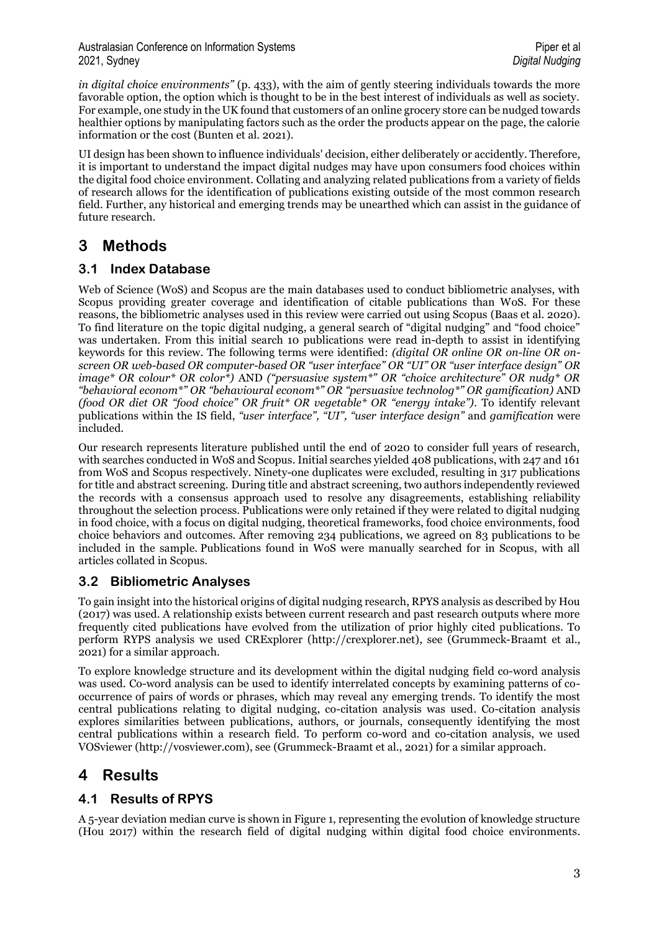*in digital choice environments"* (p. 433), with the aim of gently steering individuals towards the more favorable option, the option which is thought to be in the best interest of individuals as well as society. For example, one study in the UK found that customers of an online grocery store can be nudged towards healthier options by manipulating factors such as the order the products appear on the page, the calorie information or the cost (Bunten et al. 2021).

UI design has been shown to influence individuals' decision, either deliberately or accidently. Therefore, it is important to understand the impact digital nudges may have upon consumers food choices within the digital food choice environment. Collating and analyzing related publications from a variety of fields of research allows for the identification of publications existing outside of the most common research field. Further, any historical and emerging trends may be unearthed which can assist in the guidance of future research.

# **3 Methods**

### **3.1 Index Database**

Web of Science (WoS) and Scopus are the main databases used to conduct bibliometric analyses, with Scopus providing greater coverage and identification of citable publications than WoS. For these reasons, the bibliometric analyses used in this review were carried out using Scopus (Baas et al. 2020). To find literature on the topic digital nudging, a general search of "digital nudging" and "food choice" was undertaken. From this initial search 10 publications were read in-depth to assist in identifying keywords for this review. The following terms were identified: *(digital OR online OR on-line OR onscreen OR web-based OR computer-based OR "user interface" OR "UI" OR "user interface design" OR image\* OR colour\* OR color\*)* AND *("persuasive system\*" OR "choice architecture" OR nudg\* OR "behavioral econom\*" OR "behavioural econom\*" OR "persuasive technolog\*" OR gamification)* AND *(food OR diet OR "food choice" OR fruit\* OR vegetable\* OR "energy intake").* To identify relevant publications within the IS field, *"user interface", "UI", "user interface design"* and *gamification* were included.

Our research represents literature published until the end of 2020 to consider full years of research, with searches conducted in WoS and Scopus. Initial searches yielded 408 publications, with 247 and 161 from WoS and Scopus respectively. Ninety-one duplicates were excluded, resulting in 317 publications for title and abstract screening. During title and abstract screening, two authors independently reviewed the records with a consensus approach used to resolve any disagreements, establishing reliability throughout the selection process. Publications were only retained if they were related to digital nudging in food choice, with a focus on digital nudging, theoretical frameworks, food choice environments, food choice behaviors and outcomes. After removing 234 publications, we agreed on 83 publications to be included in the sample. Publications found in WoS were manually searched for in Scopus, with all articles collated in Scopus.

### **3.2 Bibliometric Analyses**

To gain insight into the historical origins of digital nudging research, RPYS analysis as described by Hou (2017) was used. A relationship exists between current research and past research outputs where more frequently cited publications have evolved from the utilization of prior highly cited publications. To perform RYPS analysis we used CRExplorer [\(http://crexplorer.net\)](http://crexplorer.net/), see (Grummeck-Braamt et al., 2021) for a similar approach.

To explore knowledge structure and its development within the digital nudging field co-word analysis was used. Co-word analysis can be used to identify interrelated concepts by examining patterns of cooccurrence of pairs of words or phrases, which may reveal any emerging trends. To identify the most central publications relating to digital nudging, co-citation analysis was used. Co-citation analysis explores similarities between publications, authors, or journals, consequently identifying the most central publications within a research field. To perform co-word and co-citation analysis, we used VOSviewer [\(http://vosviewer.com\)](http://vosviewer.com/), see (Grummeck-Braamt et al., 2021) for a similar approach.

## **4 Results**

### **4.1 Results of RPYS**

A 5-year deviation median curve is shown in Figure 1, representing the evolution of knowledge structure (Hou 2017) within the research field of digital nudging within digital food choice environments.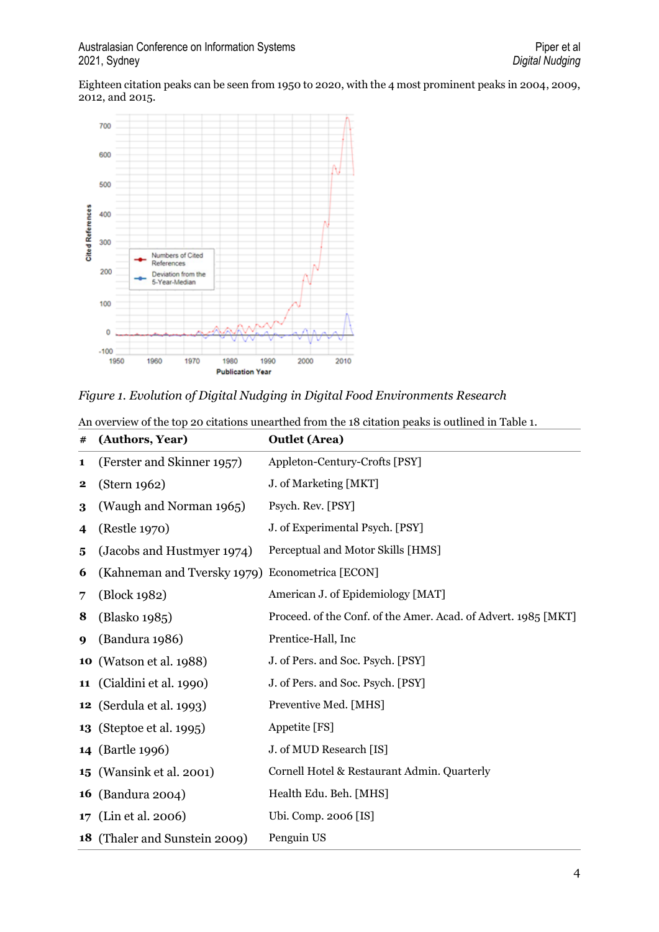Eighteen citation peaks can be seen from 1950 to 2020, with the 4 most prominent peaks in 2004, 2009, 2012, and 2015.



#### *Figure 1. Evolution of Digital Nudging in Digital Food Environments Research*

| #           | (Authors, Year)                 | <b>Outlet (Area)</b>                                           |
|-------------|---------------------------------|----------------------------------------------------------------|
| 1           | (Ferster and Skinner 1957)      | Appleton-Century-Crofts [PSY]                                  |
| $\mathbf 2$ | (Stern 1962)                    | J. of Marketing [MKT]                                          |
| 3           | (Waugh and Norman 1965)         | Psych. Rev. [PSY]                                              |
| 4           | (Restle 1970)                   | J. of Experimental Psych. [PSY]                                |
| 5           | (Jacobs and Hustmyer 1974)      | Perceptual and Motor Skills [HMS]                              |
| 6           | (Kahneman and Tversky 1979)     | Econometrica [ECON]                                            |
| 7           | (Block 1982)                    | American J. of Epidemiology [MAT]                              |
| 8           | (Blasko 1985)                   | Proceed. of the Conf. of the Amer. Acad. of Advert. 1985 [MKT] |
| 9           | (Bandura 1986)                  | Prentice-Hall, Inc                                             |
| 10          | (Watson et al. 1988)            | J. of Pers. and Soc. Psych. [PSY]                              |
| 11          | (Cialdini et al. 1990)          | J. of Pers. and Soc. Psych. [PSY]                              |
|             | <b>12</b> (Serdula et al. 1993) | Preventive Med. [MHS]                                          |
|             | <b>13</b> (Steptoe et al. 1995) | Appetite [FS]                                                  |
|             | <b>14</b> (Bartle 1996)         | J. of MUD Research [IS]                                        |
|             | <b>15</b> (Wansink et al. 2001) | Cornell Hotel & Restaurant Admin. Quarterly                    |
| 16          | (Bandura 2004)                  | Health Edu. Beh. [MHS]                                         |
| 17          | (Lin et al. 2006)               | Ubi. Comp. 2006 [IS]                                           |
| 18          | (Thaler and Sunstein 2009)      | Penguin US                                                     |

An overview of the top 20 citations unearthed from the 18 citation peaks is outlined in Table 1.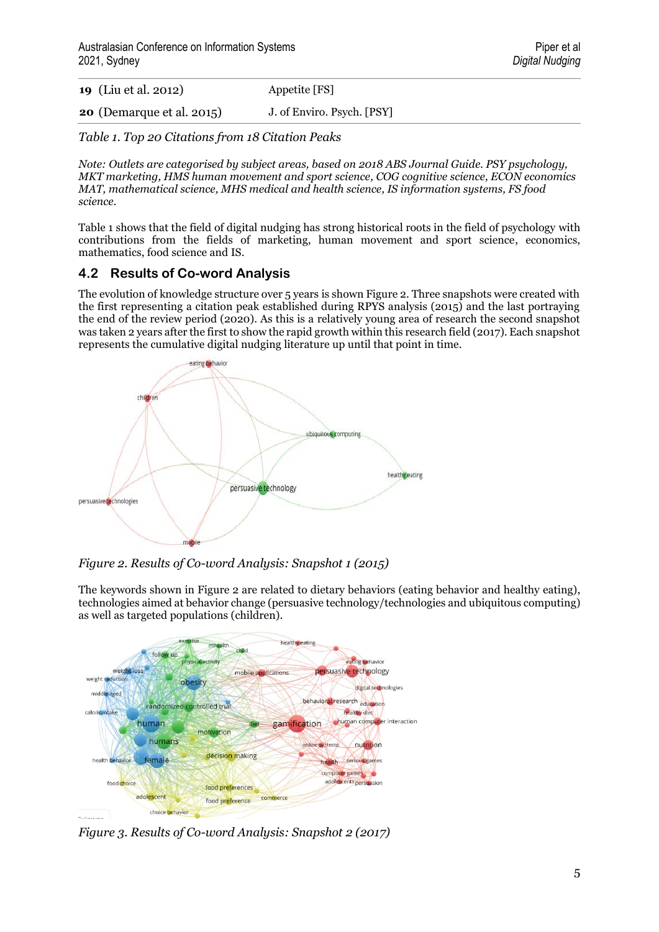| <b>19</b> (Liu et al. 2012)      | Appetite [FS]              |
|----------------------------------|----------------------------|
| <b>20</b> (Demarque et al. 2015) | J. of Enviro. Psych. [PSY] |

*Table 1. Top 20 Citations from 18 Citation Peaks*

*Note: Outlets are categorised by subject areas, based on 2018 ABS Journal Guide. PSY psychology, MKT marketing, HMS human movement and sport science, COG cognitive science, ECON economics MAT, mathematical science, MHS medical and health science, IS information systems, FS food science.*

Table 1 shows that the field of digital nudging has strong historical roots in the field of psychology with contributions from the fields of marketing, human movement and sport science, economics, mathematics, food science and IS.

### **4.2 Results of Co-word Analysis**

The evolution of knowledge structure over 5 years is shown Figure 2. Three snapshots were created with the first representing a citation peak established during RPYS analysis (2015) and the last portraying the end of the review period (2020). As this is a relatively young area of research the second snapshot was taken 2 years after the first to show the rapid growth within this research field (2017). Each snapshot represents the cumulative digital nudging literature up until that point in time.



*Figure 2. Results of Co-word Analysis: Snapshot 1 (2015)*

The keywords shown in Figure 2 are related to dietary behaviors (eating behavior and healthy eating), technologies aimed at behavior change (persuasive technology/technologies and ubiquitous computing) as well as targeted populations (children).



*Figure 3. Results of Co-word Analysis: Snapshot 2 (2017)*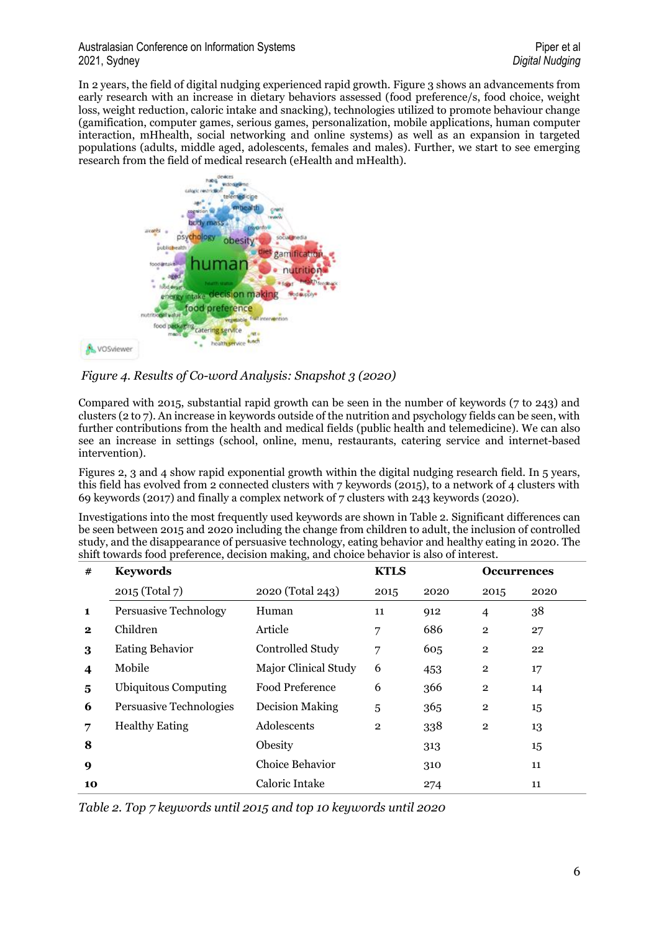#### Australasian Conference on Information Systems **Piper et al.** Piper et al. **Piper et al.** Piper et al. 2021, Sydney *Digital Nudging*

In 2 years, the field of digital nudging experienced rapid growth. Figure 3 shows an advancements from early research with an increase in dietary behaviors assessed (food preference/s, food choice, weight loss, weight reduction, caloric intake and snacking), technologies utilized to promote behaviour change (gamification, computer games, serious games, personalization, mobile applications, human computer interaction, mHhealth, social networking and online systems) as well as an expansion in targeted populations (adults, middle aged, adolescents, females and males). Further, we start to see emerging research from the field of medical research (eHealth and mHealth).



*Figure 4. Results of Co-word Analysis: Snapshot 3 (2020)*

Compared with 2015, substantial rapid growth can be seen in the number of keywords (7 to 243) and clusters (2 to 7). An increase in keywords outside of the nutrition and psychology fields can be seen, with further contributions from the health and medical fields (public health and telemedicine). We can also see an increase in settings (school, online, menu, restaurants, catering service and internet-based intervention).

Figures 2, 3 and 4 show rapid exponential growth within the digital nudging research field. In 5 years, this field has evolved from 2 connected clusters with 7 keywords (2015), to a network of 4 clusters with 69 keywords (2017) and finally a complex network of 7 clusters with 243 keywords (2020).

Investigations into the most frequently used keywords are shown in Table 2. Significant differences can be seen between 2015 and 2020 including the change from children to adult, the inclusion of controlled study, and the disappearance of persuasive technology, eating behavior and healthy eating in 2020. The shift towards food preference, decision making, and choice behavior is also of interest.

| #            | <b>Keywords</b>              |                        | <b>KTLS</b>    |      | <b>Occurrences</b> |      |
|--------------|------------------------------|------------------------|----------------|------|--------------------|------|
|              | 2015 (Total 7)               | 2020 (Total 243)       | 2015           | 2020 | 2015               | 2020 |
| 1            | <b>Persuasive Technology</b> | Human                  | 11             | 912  | $\overline{4}$     | 38   |
| $\mathbf{2}$ | Children                     | Article                | 7              | 686  | $\overline{2}$     | 27   |
| 3            | <b>Eating Behavior</b>       | Controlled Study       | 7              | 605  | $\mathbf{2}$       | 22   |
| 4            | Mobile                       | Major Clinical Study   | 6              | 453  | $\mathbf{2}$       | 17   |
| 5            | <b>Ubiquitous Computing</b>  | <b>Food Preference</b> | 6              | 366  | $\overline{2}$     | 14   |
| 6            | Persuasive Technologies      | <b>Decision Making</b> | 5              | 365  | $\overline{2}$     | 15   |
| 7            | <b>Healthy Eating</b>        | Adolescents            | $\overline{2}$ | 338  | $\overline{2}$     | 13   |
| 8            |                              | Obesity                |                | 313  |                    | 15   |
| 9            | Choice Behavior              |                        |                | 310  |                    | 11   |
| 10           |                              | Caloric Intake         |                | 274  |                    | 11   |

*Table 2. Top 7 keywords until 2015 and top 10 keywords until 2020*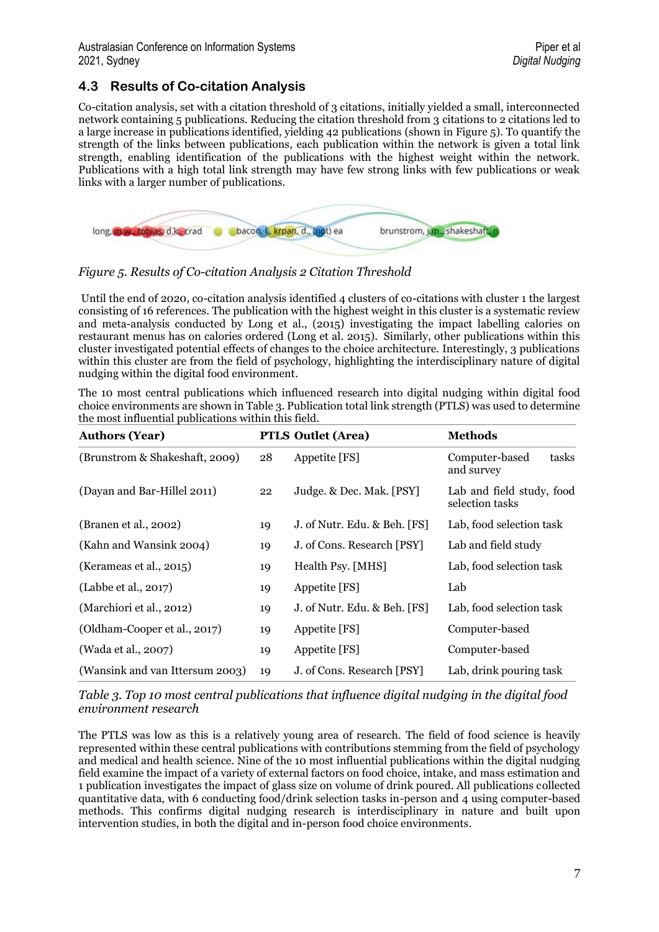### **4.3 Results of Co-citation Analysis**

Co-citation analysis, set with a citation threshold of 3 citations, initially yielded a small, interconnected network containing 5 publications. Reducing the citation threshold from 3 citations to 2 citations led to a large increase in publications identified, yielding 42 publications (shown in Figure 5). To quantify the strength of the links between publications, each publication within the network is given a total link strength, enabling identification of the publications with the highest weight within the network. Publications with a high total link strength may have few strong links with few publications or weak links with a larger number of publications.



*Figure 5. Results of Co-citation Analysis 2 Citation Threshold* 

Until the end of 2020, co-citation analysis identified  $\Delta$  clusters of co-citations with cluster 1 the largest consisting of 16 references. The publication with the highest weight in this cluster is a systematic review and meta-analysis conducted by Long et al., (2015) investigating the impact labelling calories on restaurant menus has on calories ordered (Long et al. 2015). Similarly, other publications within this cluster investigated potential effects of changes to the choice architecture. Interestingly, 3 publications within this cluster are from the field of psychology, highlighting the interdisciplinary nature of digital nudging within the digital food environment.

The 10 most central publications which influenced research into digital nudging within digital food choice environments are shown in Table 3. Publication total link strength (PTLS) was used to determine the most influential publications within this field.

| <b>Authors (Year)</b>           |    | <b>PTLS Outlet (Area)</b>    | <b>Methods</b>                               |
|---------------------------------|----|------------------------------|----------------------------------------------|
| (Brunstrom & Shakeshaft, 2009)  | 28 | Appetite $[FS]$              | tasks<br>Computer-based<br>and survey        |
| (Dayan and Bar-Hillel 2011)     | 22 | Judge. & Dec. Mak. [PSY]     | Lab and field study, food<br>selection tasks |
| (Branen et al., 2002)           | 19 | J. of Nutr. Edu. & Beh. [FS] | Lab, food selection task                     |
| (Kahn and Wansink 2004)         | 19 | J. of Cons. Research [PSY]   | Lab and field study                          |
| (Kerameas et al., 2015)         | 19 | Health Psy. [MHS]            | Lab, food selection task                     |
| (Labbe et al., 2017)            | 19 | Appetite [FS]                | Lab                                          |
| (Marchiori et al., 2012)        | 19 | J. of Nutr. Edu. & Beh. [FS] | Lab, food selection task                     |
| (Oldham-Cooper et al., 2017)    | 19 | Appetite [FS]                | Computer-based                               |
| (Wada et al., 2007)             | 19 | Appetite [FS]                | Computer-based                               |
| (Wansink and van Ittersum 2003) | 19 | J. of Cons. Research [PSY]   | Lab, drink pouring task                      |

*Table 3. Top 10 most central publications that influence digital nudging in the digital food environment research* 

The PTLS was low as this is a relatively young area of research. The field of food science is heavily represented within these central publications with contributions stemming from the field of psychology and medical and health science. Nine of the 10 most influential publications within the digital nudging field examine the impact of a variety of external factors on food choice, intake, and mass estimation and 1 publication investigates the impact of glass size on volume of drink poured. All publications collected quantitative data, with 6 conducting food/drink selection tasks in-person and 4 using computer-based methods. This confirms digital nudging research is interdisciplinary in nature and built upon intervention studies, in both the digital and in-person food choice environments.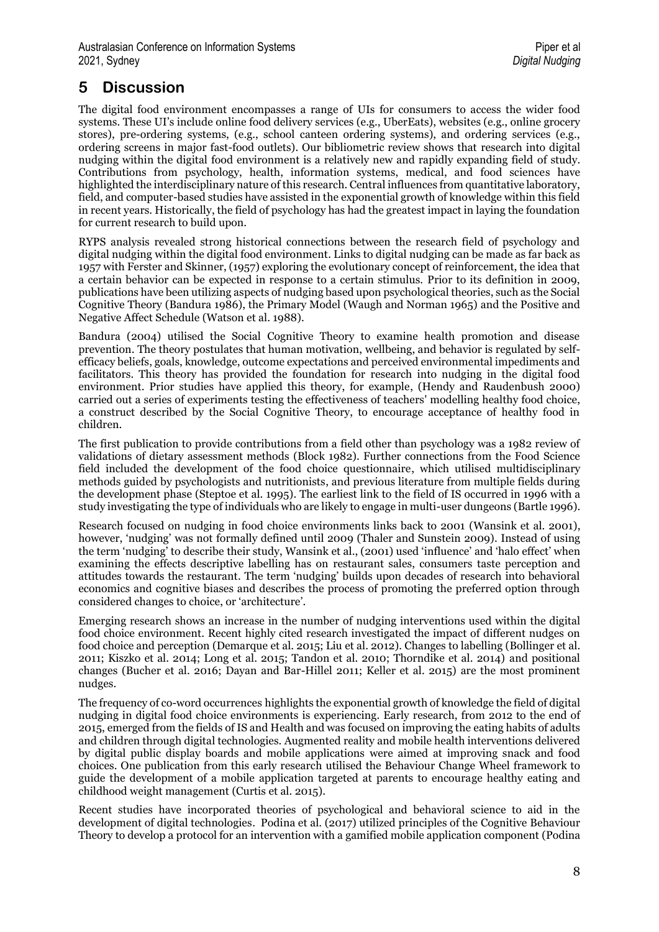# **5 Discussion**

The digital food environment encompasses a range of UIs for consumers to access the wider food systems. These UI's include online food delivery services (e.g., UberEats), websites (e.g., online grocery stores), pre-ordering systems, (e.g., school canteen ordering systems), and ordering services (e.g., ordering screens in major fast-food outlets). Our bibliometric review shows that research into digital nudging within the digital food environment is a relatively new and rapidly expanding field of study. Contributions from psychology, health, information systems, medical, and food sciences have highlighted the interdisciplinary nature of this research. Central influences from quantitative laboratory, field, and computer-based studies have assisted in the exponential growth of knowledge within this field in recent years. Historically, the field of psychology has had the greatest impact in laying the foundation for current research to build upon.

RYPS analysis revealed strong historical connections between the research field of psychology and digital nudging within the digital food environment. Links to digital nudging can be made as far back as 1957 with Ferster and Skinner, (1957) exploring the evolutionary concept of reinforcement, the idea that a certain behavior can be expected in response to a certain stimulus. Prior to its definition in 2009, publications have been utilizing aspects of nudging based upon psychological theories, such as the Social Cognitive Theory (Bandura 1986), the Primary Model (Waugh and Norman 1965) and the Positive and Negative Affect Schedule (Watson et al. 1988).

Bandura (2004) utilised the Social Cognitive Theory to examine health promotion and disease prevention. The theory postulates that human motivation, wellbeing, and behavior is regulated by selfefficacy beliefs, goals, knowledge, outcome expectations and perceived environmental impediments and facilitators. This theory has provided the foundation for research into nudging in the digital food environment. Prior studies have applied this theory, for example, (Hendy and Raudenbush 2000) carried out a series of experiments testing the effectiveness of teachers' modelling healthy food choice, a construct described by the Social Cognitive Theory, to encourage acceptance of healthy food in children.

The first publication to provide contributions from a field other than psychology was a 1982 review of validations of dietary assessment methods (Block 1982). Further connections from the Food Science field included the development of the food choice questionnaire, which utilised multidisciplinary methods guided by psychologists and nutritionists, and previous literature from multiple fields during the development phase (Steptoe et al. 1995). The earliest link to the field of IS occurred in 1996 with a study investigating the type of individuals who are likely to engage in multi-user dungeons (Bartle 1996).

Research focused on nudging in food choice environments links back to 2001 (Wansink et al. 2001), however, 'nudging' was not formally defined until 2009 (Thaler and Sunstein 2009). Instead of using the term 'nudging' to describe their study, Wansink et al., (2001) used 'influence' and 'halo effect' when examining the effects descriptive labelling has on restaurant sales, consumers taste perception and attitudes towards the restaurant. The term 'nudging' builds upon decades of research into behavioral economics and cognitive biases and describes the process of promoting the preferred option through considered changes to choice, or 'architecture'.

Emerging research shows an increase in the number of nudging interventions used within the digital food choice environment. Recent highly cited research investigated the impact of different nudges on food choice and perception (Demarque et al. 2015; Liu et al. 2012). Changes to labelling (Bollinger et al. 2011; Kiszko et al. 2014; Long et al. 2015; Tandon et al. 2010; Thorndike et al. 2014) and positional changes (Bucher et al. 2016; Dayan and Bar-Hillel 2011; Keller et al. 2015) are the most prominent nudges.

The frequency of co-word occurrences highlights the exponential growth of knowledge the field of digital nudging in digital food choice environments is experiencing. Early research, from 2012 to the end of 2015, emerged from the fields of IS and Health and was focused on improving the eating habits of adults and children through digital technologies. Augmented reality and mobile health interventions delivered by digital public display boards and mobile applications were aimed at improving snack and food choices. One publication from this early research utilised the Behaviour Change Wheel framework to guide the development of a mobile application targeted at parents to encourage healthy eating and childhood weight management (Curtis et al. 2015).

Recent studies have incorporated theories of psychological and behavioral science to aid in the development of digital technologies. Podina et al. (2017) utilized principles of the Cognitive Behaviour Theory to develop a protocol for an intervention with a gamified mobile application component (Podina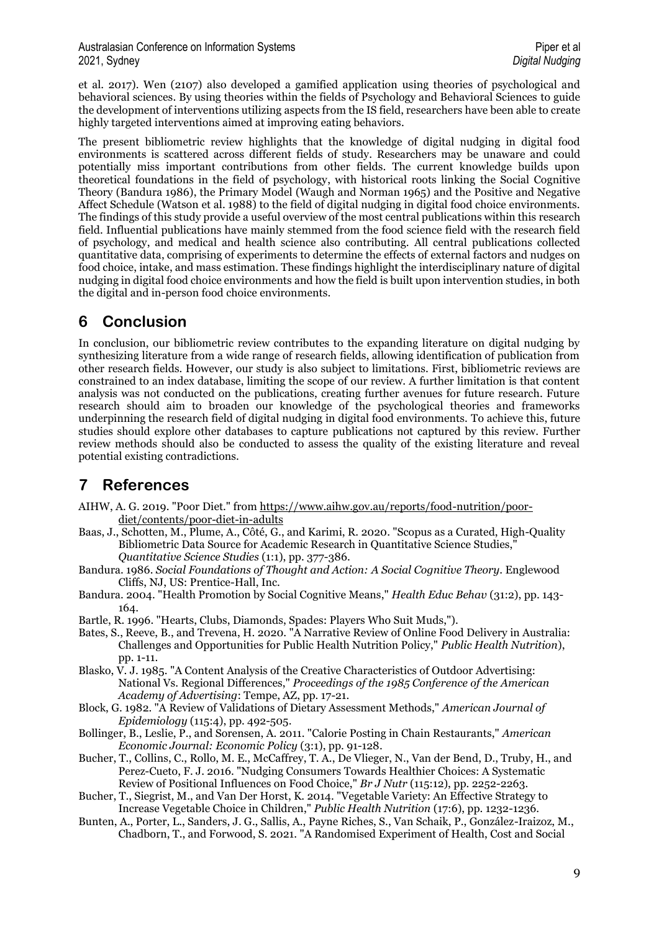et al. 2017). Wen (2107) also developed a gamified application using theories of psychological and behavioral sciences. By using theories within the fields of Psychology and Behavioral Sciences to guide the development of interventions utilizing aspects from the IS field, researchers have been able to create highly targeted interventions aimed at improving eating behaviors.

The present bibliometric review highlights that the knowledge of digital nudging in digital food environments is scattered across different fields of study. Researchers may be unaware and could potentially miss important contributions from other fields. The current knowledge builds upon theoretical foundations in the field of psychology, with historical roots linking the Social Cognitive Theory (Bandura 1986), the Primary Model (Waugh and Norman 1965) and the Positive and Negative Affect Schedule (Watson et al. 1988) to the field of digital nudging in digital food choice environments. The findings of this study provide a useful overview of the most central publications within this research field. Influential publications have mainly stemmed from the food science field with the research field of psychology, and medical and health science also contributing. All central publications collected quantitative data, comprising of experiments to determine the effects of external factors and nudges on food choice, intake, and mass estimation. These findings highlight the interdisciplinary nature of digital nudging in digital food choice environments and how the field is built upon intervention studies, in both the digital and in-person food choice environments.

## **6 Conclusion**

In conclusion, our bibliometric review contributes to the expanding literature on digital nudging by synthesizing literature from a wide range of research fields, allowing identification of publication from other research fields. However, our study is also subject to limitations. First, bibliometric reviews are constrained to an index database, limiting the scope of our review. A further limitation is that content analysis was not conducted on the publications, creating further avenues for future research. Future research should aim to broaden our knowledge of the psychological theories and frameworks underpinning the research field of digital nudging in digital food environments. To achieve this, future studies should explore other databases to capture publications not captured by this review. Further review methods should also be conducted to assess the quality of the existing literature and reveal potential existing contradictions.

# **7 References**

- AIHW, A. G. 2019. "Poor Diet." from [https://www.aihw.gov.au/reports/food-nutrition/poor](https://www.aihw.gov.au/reports/food-nutrition/poor-diet/contents/poor-diet-in-adults)[diet/contents/poor-diet-in-adults](https://www.aihw.gov.au/reports/food-nutrition/poor-diet/contents/poor-diet-in-adults)
- Baas, J., Schotten, M., Plume, A., Côté, G., and Karimi, R. 2020. "Scopus as a Curated, High-Quality Bibliometric Data Source for Academic Research in Quantitative Science Studies," *Quantitative Science Studies* (1:1), pp. 377-386.
- Bandura. 1986. *Social Foundations of Thought and Action: A Social Cognitive Theory*. Englewood Cliffs, NJ, US: Prentice-Hall, Inc.
- Bandura. 2004. "Health Promotion by Social Cognitive Means," *Health Educ Behav* (31:2), pp. 143- 164.
- Bartle, R. 1996. "Hearts, Clubs, Diamonds, Spades: Players Who Suit Muds,").
- Bates, S., Reeve, B., and Trevena, H. 2020. "A Narrative Review of Online Food Delivery in Australia: Challenges and Opportunities for Public Health Nutrition Policy," *Public Health Nutrition*), pp. 1-11.
- Blasko, V. J. 1985. "A Content Analysis of the Creative Characteristics of Outdoor Advertising: National Vs. Regional Differences," *Proceedings of the 1985 Conference of the American Academy of Advertising*: Tempe, AZ, pp. 17-21.
- Block, G. 1982. "A Review of Validations of Dietary Assessment Methods," *American Journal of Epidemiology* (115:4), pp. 492-505.
- Bollinger, B., Leslie, P., and Sorensen, A. 2011. "Calorie Posting in Chain Restaurants," *American Economic Journal: Economic Policy* (3:1), pp. 91-128.
- Bucher, T., Collins, C., Rollo, M. E., McCaffrey, T. A., De Vlieger, N., Van der Bend, D., Truby, H., and Perez-Cueto, F. J. 2016. "Nudging Consumers Towards Healthier Choices: A Systematic Review of Positional Influences on Food Choice," *Br J Nutr* (115:12), pp. 2252-2263.
- Bucher, T., Siegrist, M., and Van Der Horst, K. 2014. "Vegetable Variety: An Effective Strategy to Increase Vegetable Choice in Children," *Public Health Nutrition* (17:6), pp. 1232-1236.
- Bunten, A., Porter, L., Sanders, J. G., Sallis, A., Payne Riches, S., Van Schaik, P., González-Iraizoz, M., Chadborn, T., and Forwood, S. 2021. "A Randomised Experiment of Health, Cost and Social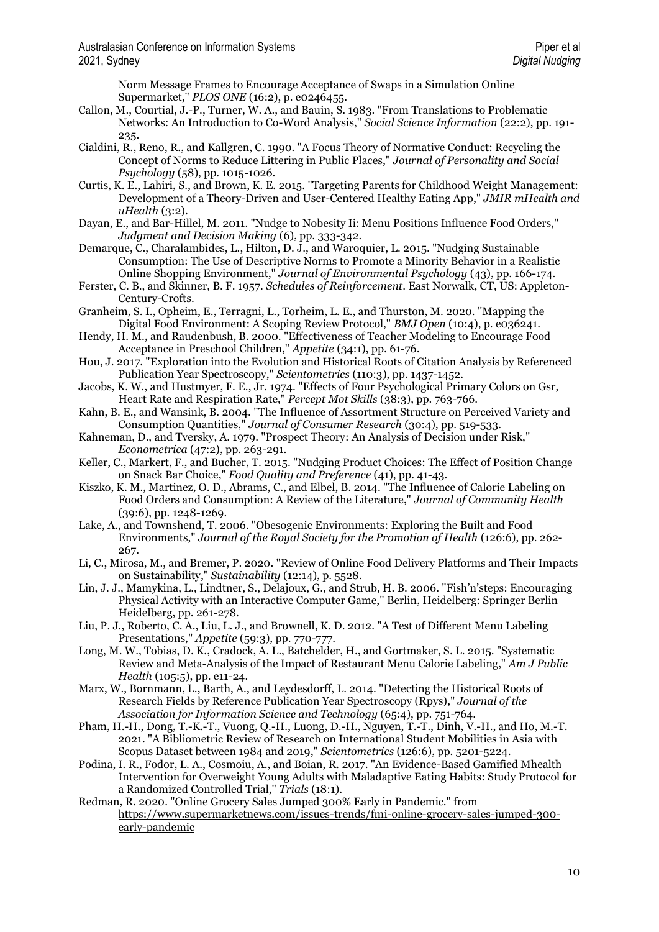Norm Message Frames to Encourage Acceptance of Swaps in a Simulation Online Supermarket," *PLOS ONE* (16:2), p. e0246455.

- Callon, M., Courtial, J.-P., Turner, W. A., and Bauin, S. 1983. "From Translations to Problematic Networks: An Introduction to Co-Word Analysis," *Social Science Information* (22:2), pp. 191- 235.
- Cialdini, R., Reno, R., and Kallgren, C. 1990. "A Focus Theory of Normative Conduct: Recycling the Concept of Norms to Reduce Littering in Public Places," *Journal of Personality and Social Psychology* (58), pp. 1015-1026.
- Curtis, K. E., Lahiri, S., and Brown, K. E. 2015. "Targeting Parents for Childhood Weight Management: Development of a Theory-Driven and User-Centered Healthy Eating App," *JMIR mHealth and uHealth* (3:2).
- Dayan, E., and Bar-Hillel, M. 2011. "Nudge to Nobesity Ii: Menu Positions Influence Food Orders," *Judgment and Decision Making* (6), pp. 333-342.
- Demarque, C., Charalambides, L., Hilton, D. J., and Waroquier, L. 2015. "Nudging Sustainable Consumption: The Use of Descriptive Norms to Promote a Minority Behavior in a Realistic Online Shopping Environment," *Journal of Environmental Psychology* (43), pp. 166-174.
- Ferster, C. B., and Skinner, B. F. 1957. *Schedules of Reinforcement*. East Norwalk, CT, US: Appleton-Century-Crofts.
- Granheim, S. I., Opheim, E., Terragni, L., Torheim, L. E., and Thurston, M. 2020. "Mapping the Digital Food Environment: A Scoping Review Protocol," *BMJ Open* (10:4), p. e036241.
- Hendy, H. M., and Raudenbush, B. 2000. "Effectiveness of Teacher Modeling to Encourage Food Acceptance in Preschool Children," *Appetite* (34:1), pp. 61-76.
- Hou, J. 2017. "Exploration into the Evolution and Historical Roots of Citation Analysis by Referenced Publication Year Spectroscopy," *Scientometrics* (110:3), pp. 1437-1452.
- Jacobs, K. W., and Hustmyer, F. E., Jr. 1974. "Effects of Four Psychological Primary Colors on Gsr, Heart Rate and Respiration Rate," *Percept Mot Skills* (38:3), pp. 763-766.
- Kahn, B. E., and Wansink, B. 2004. "The Influence of Assortment Structure on Perceived Variety and Consumption Quantities," *Journal of Consumer Research* (30:4), pp. 519-533.
- Kahneman, D., and Tversky, A. 1979. "Prospect Theory: An Analysis of Decision under Risk," *Econometrica* (47:2), pp. 263-291.
- Keller, C., Markert, F., and Bucher, T. 2015. "Nudging Product Choices: The Effect of Position Change on Snack Bar Choice," *Food Quality and Preference* (41), pp. 41-43.
- Kiszko, K. M., Martinez, O. D., Abrams, C., and Elbel, B. 2014. "The Influence of Calorie Labeling on Food Orders and Consumption: A Review of the Literature," *Journal of Community Health* (39:6), pp. 1248-1269.
- Lake, A., and Townshend, T. 2006. "Obesogenic Environments: Exploring the Built and Food Environments," *Journal of the Royal Society for the Promotion of Health* (126:6), pp. 262- 267.
- Li, C., Mirosa, M., and Bremer, P. 2020. "Review of Online Food Delivery Platforms and Their Impacts on Sustainability," *Sustainability* (12:14), p. 5528.
- Lin, J. J., Mamykina, L., Lindtner, S., Delajoux, G., and Strub, H. B. 2006. "Fish'n'steps: Encouraging Physical Activity with an Interactive Computer Game," Berlin, Heidelberg: Springer Berlin Heidelberg, pp. 261-278.
- Liu, P. J., Roberto, C. A., Liu, L. J., and Brownell, K. D. 2012. "A Test of Different Menu Labeling Presentations," *Appetite* (59:3), pp. 770-777.
- Long, M. W., Tobias, D. K., Cradock, A. L., Batchelder, H., and Gortmaker, S. L. 2015. "Systematic Review and Meta-Analysis of the Impact of Restaurant Menu Calorie Labeling," *Am J Public Health* (105:5), pp. e11-24.
- Marx, W., Bornmann, L., Barth, A., and Leydesdorff, L. 2014. "Detecting the Historical Roots of Research Fields by Reference Publication Year Spectroscopy (Rpys)," *Journal of the Association for Information Science and Technology* (65:4), pp. 751-764.
- Pham, H.-H., Dong, T.-K.-T., Vuong, Q.-H., Luong, D.-H., Nguyen, T.-T., Dinh, V.-H., and Ho, M.-T. 2021. "A Bibliometric Review of Research on International Student Mobilities in Asia with Scopus Dataset between 1984 and 2019," *Scientometrics* (126:6), pp. 5201-5224.
- Podina, I. R., Fodor, L. A., Cosmoiu, A., and Boian, R. 2017. "An Evidence-Based Gamified Mhealth Intervention for Overweight Young Adults with Maladaptive Eating Habits: Study Protocol for a Randomized Controlled Trial," *Trials* (18:1).
- Redman, R. 2020. "Online Grocery Sales Jumped 300% Early in Pandemic." from [https://www.supermarketnews.com/issues-trends/fmi-online-grocery-sales-jumped-300](https://www.supermarketnews.com/issues-trends/fmi-online-grocery-sales-jumped-300-early-pandemic) [early-pandemic](https://www.supermarketnews.com/issues-trends/fmi-online-grocery-sales-jumped-300-early-pandemic)